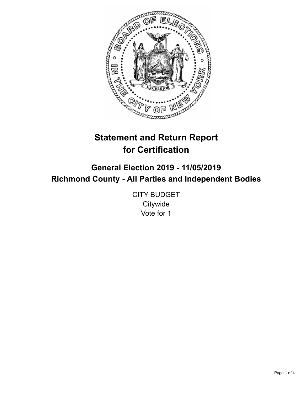

# **Statement and Return Report for Certification**

**General Election 2019 - 11/05/2019 Richmond County - All Parties and Independent Bodies**

> CITY BUDGET **Citywide** Vote for 1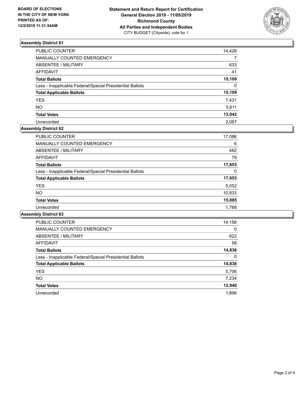

# **Assembly District 61**

| PUBLIC COUNTER                                           | 14,428   |
|----------------------------------------------------------|----------|
| MANUALLY COUNTED EMERGENCY                               | 7        |
| ABSENTEE / MILITARY                                      | 633      |
| AFFIDAVIT                                                | 41       |
| Total Ballots                                            | 15,109   |
| Less - Inapplicable Federal/Special Presidential Ballots | $\Omega$ |
| <b>Total Applicable Ballots</b>                          | 15,109   |
| <b>YES</b>                                               | 7,431    |
| NO.                                                      | 5,611    |
| <b>Total Votes</b>                                       | 13,042   |
| Unrecorded                                               | 2.067    |

# **Assembly District 62**

| <b>PUBLIC COUNTER</b>                                    | 17,086 |
|----------------------------------------------------------|--------|
| <b>MANUALLY COUNTED EMERGENCY</b>                        | 6      |
| ABSENTEE / MILITARY                                      | 482    |
| <b>AFFIDAVIT</b>                                         | 79     |
| <b>Total Ballots</b>                                     | 17,653 |
| Less - Inapplicable Federal/Special Presidential Ballots | 0      |
| <b>Total Applicable Ballots</b>                          | 17,653 |
| <b>YES</b>                                               | 5,052  |
| <b>NO</b>                                                | 10,833 |
| <b>Total Votes</b>                                       | 15,885 |
| Unrecorded                                               | 1.768  |

#### **Assembly District 63**

| <b>PUBLIC COUNTER</b>                                    | 14,156   |
|----------------------------------------------------------|----------|
| <b>MANUALLY COUNTED EMERGENCY</b>                        | $\Omega$ |
| ABSENTEE / MILITARY                                      | 622      |
| <b>AFFIDAVIT</b>                                         | 58       |
| <b>Total Ballots</b>                                     | 14,836   |
| Less - Inapplicable Federal/Special Presidential Ballots | $\Omega$ |
| <b>Total Applicable Ballots</b>                          | 14,836   |
| <b>YES</b>                                               | 5,706    |
| NO.                                                      | 7,234    |
| <b>Total Votes</b>                                       | 12,940   |
| Unrecorded                                               | 1.896    |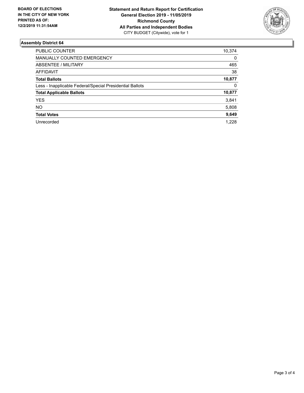

# **Assembly District 64**

| PUBLIC COUNTER                                           | 10,374   |
|----------------------------------------------------------|----------|
| <b>MANUALLY COUNTED EMERGENCY</b>                        | 0        |
| ABSENTEE / MILITARY                                      | 465      |
| <b>AFFIDAVIT</b>                                         | 38       |
| <b>Total Ballots</b>                                     | 10,877   |
| Less - Inapplicable Federal/Special Presidential Ballots | $\Omega$ |
| <b>Total Applicable Ballots</b>                          | 10,877   |
| <b>YES</b>                                               | 3,841    |
| NO.                                                      | 5,808    |
| <b>Total Votes</b>                                       | 9,649    |
| Unrecorded                                               | 1.228    |